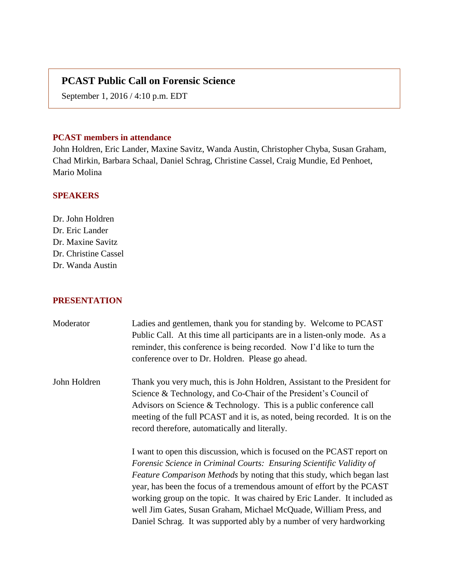# **PCAST Public Call on Forensic Science**

September 1, 2016 / 4:10 p.m. EDT

### **PCAST members in attendance**

John Holdren, Eric Lander, Maxine Savitz, Wanda Austin, Christopher Chyba, Susan Graham, Chad Mirkin, Barbara Schaal, Daniel Schrag, Christine Cassel, Craig Mundie, Ed Penhoet, Mario Molina

### **SPEAKERS**

Dr. John Holdren Dr. Eric Lander Dr. Maxine Savitz Dr. Christine Cassel Dr. Wanda Austin

#### **PRESENTATION**

| Moderator    | Ladies and gentlemen, thank you for standing by. Welcome to PCAST<br>Public Call. At this time all participants are in a listen-only mode. As a<br>reminder, this conference is being recorded. Now I'd like to turn the<br>conference over to Dr. Holdren. Please go ahead.                                                                                                                                                                                                                                                         |
|--------------|--------------------------------------------------------------------------------------------------------------------------------------------------------------------------------------------------------------------------------------------------------------------------------------------------------------------------------------------------------------------------------------------------------------------------------------------------------------------------------------------------------------------------------------|
| John Holdren | Thank you very much, this is John Holdren, Assistant to the President for<br>Science & Technology, and Co-Chair of the President's Council of<br>Advisors on Science $&$ Technology. This is a public conference call<br>meeting of the full PCAST and it is, as noted, being recorded. It is on the<br>record therefore, automatically and literally.                                                                                                                                                                               |
|              | I want to open this discussion, which is focused on the PCAST report on<br>Forensic Science in Criminal Courts: Ensuring Scientific Validity of<br><i>Feature Comparison Methods</i> by noting that this study, which began last<br>year, has been the focus of a tremendous amount of effort by the PCAST<br>working group on the topic. It was chaired by Eric Lander. It included as<br>well Jim Gates, Susan Graham, Michael McQuade, William Press, and<br>Daniel Schrag. It was supported ably by a number of very hardworking |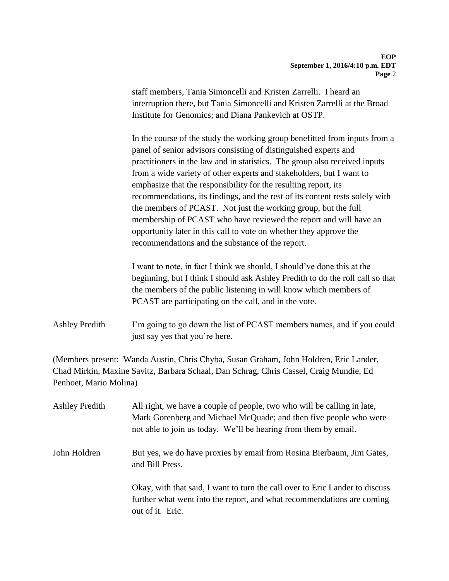staff members, Tania Simoncelli and Kristen Zarrelli. I heard an interruption there, but Tania Simoncelli and Kristen Zarrelli at the Broad Institute for Genomics; and Diana Pankevich at OSTP.

In the course of the study the working group benefitted from inputs from a panel of senior advisors consisting of distinguished experts and practitioners in the law and in statistics. The group also received inputs from a wide variety of other experts and stakeholders, but I want to emphasize that the responsibility for the resulting report, its recommendations, its findings, and the rest of its content rests solely with the members of PCAST. Not just the working group, but the full membership of PCAST who have reviewed the report and will have an opportunity later in this call to vote on whether they approve the recommendations and the substance of the report.

I want to note, in fact I think we should, I should've done this at the beginning, but I think I should ask Ashley Predith to do the roll call so that the members of the public listening in will know which members of PCAST are participating on the call, and in the vote.

## Ashley Predith I'm going to go down the list of PCAST members names, and if you could just say yes that you're here.

(Members present: Wanda Austin, Chris Chyba, Susan Graham, John Holdren, Eric Lander, Chad Mirkin, Maxine Savitz, Barbara Schaal, Dan Schrag, Chris Cassel, Craig Mundie, Ed Penhoet, Mario Molina)

| <b>Ashley Predith</b> | All right, we have a couple of people, two who will be calling in late,<br>Mark Gorenberg and Michael McQuade; and then five people who were<br>not able to join us today. We'll be hearing from them by email. |
|-----------------------|-----------------------------------------------------------------------------------------------------------------------------------------------------------------------------------------------------------------|
| John Holdren          | But yes, we do have proxies by email from Rosina Bierbaum, Jim Gates,<br>and Bill Press.                                                                                                                        |
|                       | Okay, with that said, I want to turn the call over to Eric Lander to discuss<br>further what went into the report, and what recommendations are coming<br>out of it. Eric.                                      |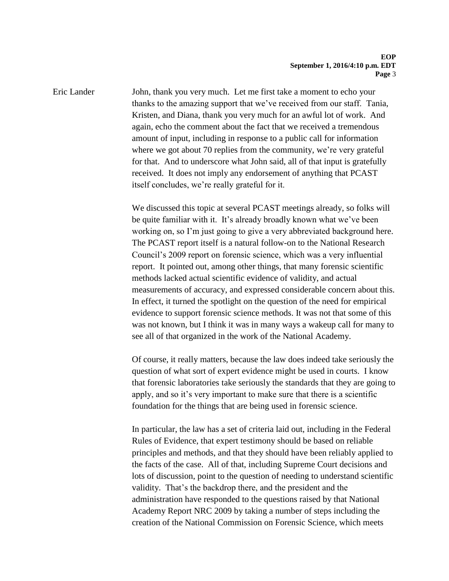Eric Lander John, thank you very much. Let me first take a moment to echo your thanks to the amazing support that we've received from our staff. Tania, Kristen, and Diana, thank you very much for an awful lot of work. And again, echo the comment about the fact that we received a tremendous amount of input, including in response to a public call for information where we got about 70 replies from the community, we're very grateful for that. And to underscore what John said, all of that input is gratefully received. It does not imply any endorsement of anything that PCAST itself concludes, we're really grateful for it.

> We discussed this topic at several PCAST meetings already, so folks will be quite familiar with it. It's already broadly known what we've been working on, so I'm just going to give a very abbreviated background here. The PCAST report itself is a natural follow-on to the National Research Council's 2009 report on forensic science, which was a very influential report. It pointed out, among other things, that many forensic scientific methods lacked actual scientific evidence of validity, and actual measurements of accuracy, and expressed considerable concern about this. In effect, it turned the spotlight on the question of the need for empirical evidence to support forensic science methods. It was not that some of this was not known, but I think it was in many ways a wakeup call for many to see all of that organized in the work of the National Academy.

> Of course, it really matters, because the law does indeed take seriously the question of what sort of expert evidence might be used in courts. I know that forensic laboratories take seriously the standards that they are going to apply, and so it's very important to make sure that there is a scientific foundation for the things that are being used in forensic science.

> In particular, the law has a set of criteria laid out, including in the Federal Rules of Evidence, that expert testimony should be based on reliable principles and methods, and that they should have been reliably applied to the facts of the case. All of that, including Supreme Court decisions and lots of discussion, point to the question of needing to understand scientific validity. That's the backdrop there, and the president and the administration have responded to the questions raised by that National Academy Report NRC 2009 by taking a number of steps including the creation of the National Commission on Forensic Science, which meets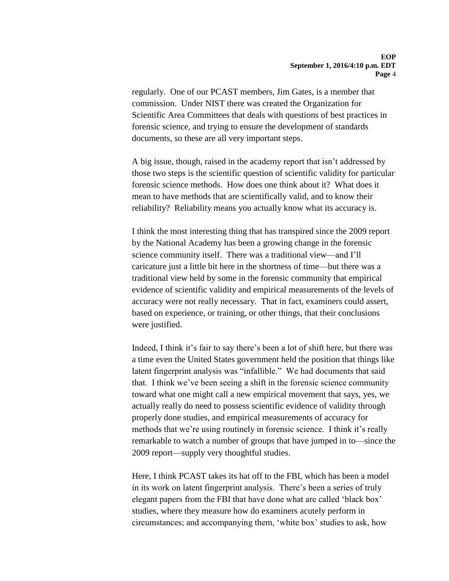regularly. One of our PCAST members, Jim Gates, is a member that commission. Under NIST there was created the Organization for Scientific Area Committees that deals with questions of best practices in forensic science, and trying to ensure the development of standards documents, so these are all very important steps.

A big issue, though, raised in the academy report that isn't addressed by those two steps is the scientific question of scientific validity for particular forensic science methods. How does one think about it? What does it mean to have methods that are scientifically valid, and to know their reliability? Reliability means you actually know what its accuracy is.

I think the most interesting thing that has transpired since the 2009 report by the National Academy has been a growing change in the forensic science community itself. There was a traditional view—and I'll caricature just a little bit here in the shortness of time—but there was a traditional view held by some in the forensic community that empirical evidence of scientific validity and empirical measurements of the levels of accuracy were not really necessary. That in fact, examiners could assert, based on experience, or training, or other things, that their conclusions were justified.

Indeed, I think it's fair to say there's been a lot of shift here, but there was a time even the United States government held the position that things like latent fingerprint analysis was "infallible." We had documents that said that. I think we've been seeing a shift in the forensic science community toward what one might call a new empirical movement that says, yes, we actually really do need to possess scientific evidence of validity through properly done studies, and empirical measurements of accuracy for methods that we're using routinely in forensic science. I think it's really remarkable to watch a number of groups that have jumped in to—since the 2009 report—supply very thoughtful studies.

Here, I think PCAST takes its hat off to the FBI, which has been a model in its work on latent fingerprint analysis. There's been a series of truly elegant papers from the FBI that have done what are called 'black box' studies, where they measure how do examiners acutely perform in circumstances; and accompanying them, 'white box' studies to ask, how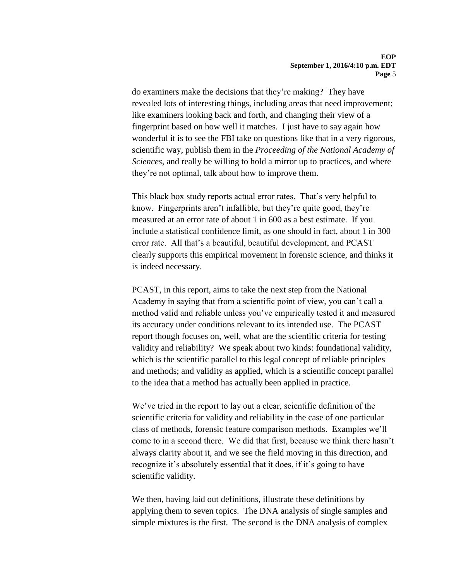do examiners make the decisions that they're making? They have revealed lots of interesting things, including areas that need improvement; like examiners looking back and forth, and changing their view of a fingerprint based on how well it matches. I just have to say again how wonderful it is to see the FBI take on questions like that in a very rigorous, scientific way, publish them in the *Proceeding of the National Academy of Sciences*, and really be willing to hold a mirror up to practices, and where they're not optimal, talk about how to improve them.

This black box study reports actual error rates. That's very helpful to know. Fingerprints aren't infallible, but they're quite good, they're measured at an error rate of about 1 in 600 as a best estimate. If you include a statistical confidence limit, as one should in fact, about 1 in 300 error rate. All that's a beautiful, beautiful development, and PCAST clearly supports this empirical movement in forensic science, and thinks it is indeed necessary.

PCAST, in this report, aims to take the next step from the National Academy in saying that from a scientific point of view, you can't call a method valid and reliable unless you've empirically tested it and measured its accuracy under conditions relevant to its intended use. The PCAST report though focuses on, well, what are the scientific criteria for testing validity and reliability? We speak about two kinds: foundational validity, which is the scientific parallel to this legal concept of reliable principles and methods; and validity as applied, which is a scientific concept parallel to the idea that a method has actually been applied in practice.

We've tried in the report to lay out a clear, scientific definition of the scientific criteria for validity and reliability in the case of one particular class of methods, forensic feature comparison methods. Examples we'll come to in a second there. We did that first, because we think there hasn't always clarity about it, and we see the field moving in this direction, and recognize it's absolutely essential that it does, if it's going to have scientific validity.

We then, having laid out definitions, illustrate these definitions by applying them to seven topics. The DNA analysis of single samples and simple mixtures is the first. The second is the DNA analysis of complex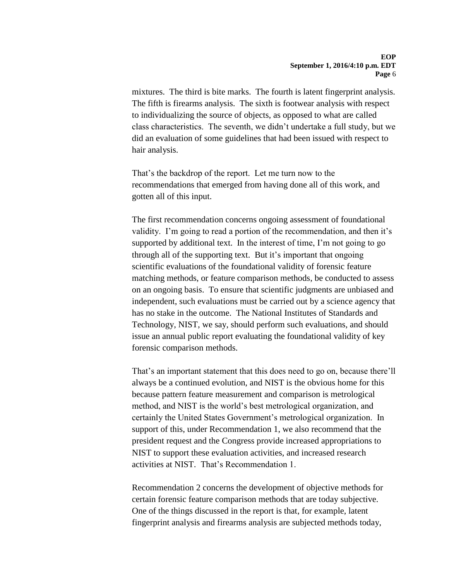mixtures. The third is bite marks. The fourth is latent fingerprint analysis. The fifth is firearms analysis. The sixth is footwear analysis with respect to individualizing the source of objects, as opposed to what are called class characteristics. The seventh, we didn't undertake a full study, but we did an evaluation of some guidelines that had been issued with respect to hair analysis.

That's the backdrop of the report. Let me turn now to the recommendations that emerged from having done all of this work, and gotten all of this input.

The first recommendation concerns ongoing assessment of foundational validity. I'm going to read a portion of the recommendation, and then it's supported by additional text. In the interest of time, I'm not going to go through all of the supporting text. But it's important that ongoing scientific evaluations of the foundational validity of forensic feature matching methods, or feature comparison methods, be conducted to assess on an ongoing basis. To ensure that scientific judgments are unbiased and independent, such evaluations must be carried out by a science agency that has no stake in the outcome. The National Institutes of Standards and Technology, NIST, we say, should perform such evaluations, and should issue an annual public report evaluating the foundational validity of key forensic comparison methods.

That's an important statement that this does need to go on, because there'll always be a continued evolution, and NIST is the obvious home for this because pattern feature measurement and comparison is metrological method, and NIST is the world's best metrological organization, and certainly the United States Government's metrological organization. In support of this, under Recommendation 1, we also recommend that the president request and the Congress provide increased appropriations to NIST to support these evaluation activities, and increased research activities at NIST. That's Recommendation 1.

Recommendation 2 concerns the development of objective methods for certain forensic feature comparison methods that are today subjective. One of the things discussed in the report is that, for example, latent fingerprint analysis and firearms analysis are subjected methods today,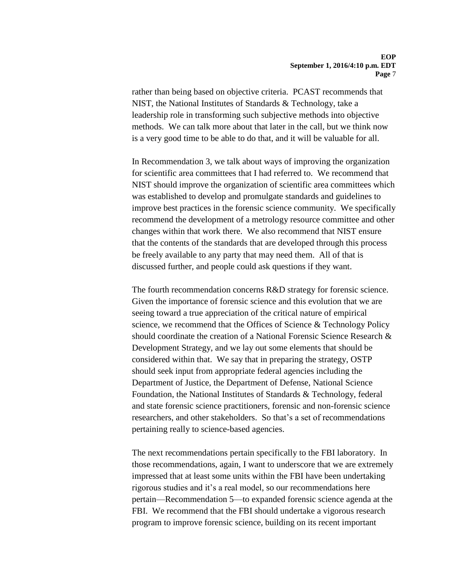rather than being based on objective criteria. PCAST recommends that NIST, the National Institutes of Standards & Technology, take a leadership role in transforming such subjective methods into objective methods. We can talk more about that later in the call, but we think now is a very good time to be able to do that, and it will be valuable for all.

In Recommendation 3, we talk about ways of improving the organization for scientific area committees that I had referred to. We recommend that NIST should improve the organization of scientific area committees which was established to develop and promulgate standards and guidelines to improve best practices in the forensic science community. We specifically recommend the development of a metrology resource committee and other changes within that work there. We also recommend that NIST ensure that the contents of the standards that are developed through this process be freely available to any party that may need them. All of that is discussed further, and people could ask questions if they want.

The fourth recommendation concerns R&D strategy for forensic science. Given the importance of forensic science and this evolution that we are seeing toward a true appreciation of the critical nature of empirical science, we recommend that the Offices of Science & Technology Policy should coordinate the creation of a National Forensic Science Research & Development Strategy, and we lay out some elements that should be considered within that. We say that in preparing the strategy, OSTP should seek input from appropriate federal agencies including the Department of Justice, the Department of Defense, National Science Foundation, the National Institutes of Standards & Technology, federal and state forensic science practitioners, forensic and non-forensic science researchers, and other stakeholders. So that's a set of recommendations pertaining really to science-based agencies.

The next recommendations pertain specifically to the FBI laboratory. In those recommendations, again, I want to underscore that we are extremely impressed that at least some units within the FBI have been undertaking rigorous studies and it's a real model, so our recommendations here pertain—Recommendation 5—to expanded forensic science agenda at the FBI. We recommend that the FBI should undertake a vigorous research program to improve forensic science, building on its recent important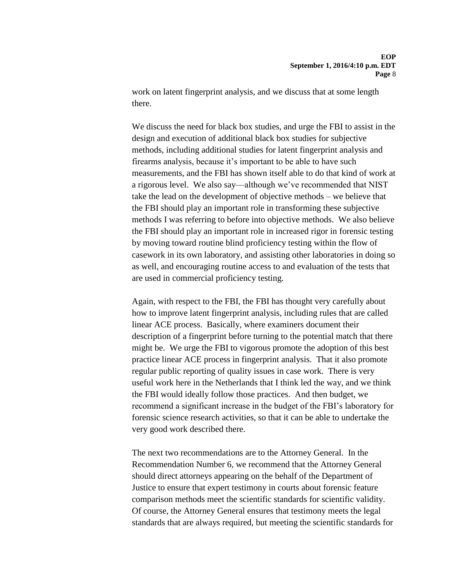work on latent fingerprint analysis, and we discuss that at some length there.

We discuss the need for black box studies, and urge the FBI to assist in the design and execution of additional black box studies for subjective methods, including additional studies for latent fingerprint analysis and firearms analysis, because it's important to be able to have such measurements, and the FBI has shown itself able to do that kind of work at a rigorous level. We also say—although we've recommended that NIST take the lead on the development of objective methods – we believe that the FBI should play an important role in transforming these subjective methods I was referring to before into objective methods. We also believe the FBI should play an important role in increased rigor in forensic testing by moving toward routine blind proficiency testing within the flow of casework in its own laboratory, and assisting other laboratories in doing so as well, and encouraging routine access to and evaluation of the tests that are used in commercial proficiency testing.

Again, with respect to the FBI, the FBI has thought very carefully about how to improve latent fingerprint analysis, including rules that are called linear ACE process. Basically, where examiners document their description of a fingerprint before turning to the potential match that there might be. We urge the FBI to vigorous promote the adoption of this best practice linear ACE process in fingerprint analysis. That it also promote regular public reporting of quality issues in case work. There is very useful work here in the Netherlands that I think led the way, and we think the FBI would ideally follow those practices. And then budget, we recommend a significant increase in the budget of the FBI's laboratory for forensic science research activities, so that it can be able to undertake the very good work described there.

The next two recommendations are to the Attorney General. In the Recommendation Number 6, we recommend that the Attorney General should direct attorneys appearing on the behalf of the Department of Justice to ensure that expert testimony in courts about forensic feature comparison methods meet the scientific standards for scientific validity. Of course, the Attorney General ensures that testimony meets the legal standards that are always required, but meeting the scientific standards for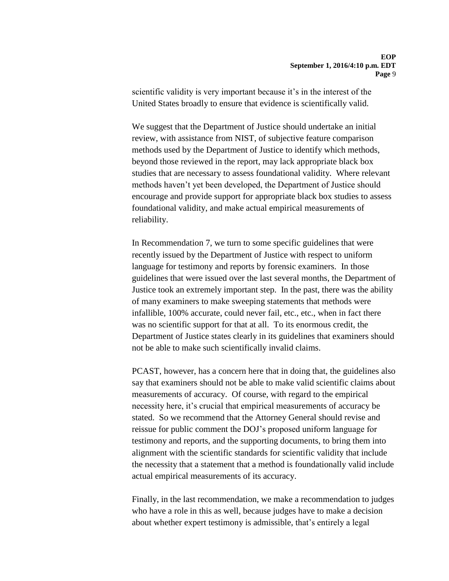scientific validity is very important because it's in the interest of the United States broadly to ensure that evidence is scientifically valid.

We suggest that the Department of Justice should undertake an initial review, with assistance from NIST, of subjective feature comparison methods used by the Department of Justice to identify which methods, beyond those reviewed in the report, may lack appropriate black box studies that are necessary to assess foundational validity. Where relevant methods haven't yet been developed, the Department of Justice should encourage and provide support for appropriate black box studies to assess foundational validity, and make actual empirical measurements of reliability.

In Recommendation 7, we turn to some specific guidelines that were recently issued by the Department of Justice with respect to uniform language for testimony and reports by forensic examiners. In those guidelines that were issued over the last several months, the Department of Justice took an extremely important step. In the past, there was the ability of many examiners to make sweeping statements that methods were infallible, 100% accurate, could never fail, etc., etc., when in fact there was no scientific support for that at all. To its enormous credit, the Department of Justice states clearly in its guidelines that examiners should not be able to make such scientifically invalid claims.

PCAST, however, has a concern here that in doing that, the guidelines also say that examiners should not be able to make valid scientific claims about measurements of accuracy. Of course, with regard to the empirical necessity here, it's crucial that empirical measurements of accuracy be stated. So we recommend that the Attorney General should revise and reissue for public comment the DOJ's proposed uniform language for testimony and reports, and the supporting documents, to bring them into alignment with the scientific standards for scientific validity that include the necessity that a statement that a method is foundationally valid include actual empirical measurements of its accuracy.

Finally, in the last recommendation, we make a recommendation to judges who have a role in this as well, because judges have to make a decision about whether expert testimony is admissible, that's entirely a legal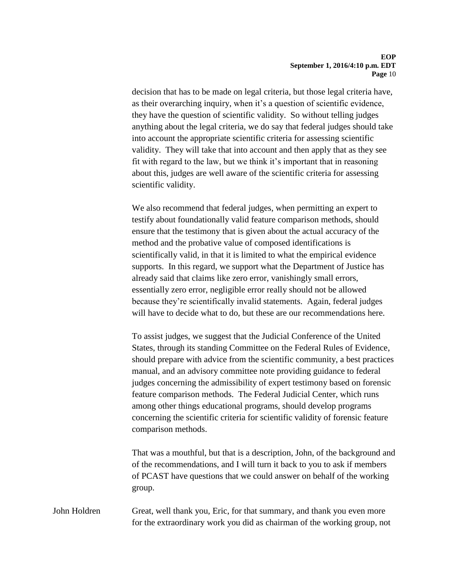decision that has to be made on legal criteria, but those legal criteria have, as their overarching inquiry, when it's a question of scientific evidence, they have the question of scientific validity. So without telling judges anything about the legal criteria, we do say that federal judges should take into account the appropriate scientific criteria for assessing scientific validity. They will take that into account and then apply that as they see fit with regard to the law, but we think it's important that in reasoning about this, judges are well aware of the scientific criteria for assessing scientific validity.

We also recommend that federal judges, when permitting an expert to testify about foundationally valid feature comparison methods, should ensure that the testimony that is given about the actual accuracy of the method and the probative value of composed identifications is scientifically valid, in that it is limited to what the empirical evidence supports. In this regard, we support what the Department of Justice has already said that claims like zero error, vanishingly small errors, essentially zero error, negligible error really should not be allowed because they're scientifically invalid statements. Again, federal judges will have to decide what to do, but these are our recommendations here.

To assist judges, we suggest that the Judicial Conference of the United States, through its standing Committee on the Federal Rules of Evidence, should prepare with advice from the scientific community, a best practices manual, and an advisory committee note providing guidance to federal judges concerning the admissibility of expert testimony based on forensic feature comparison methods. The Federal Judicial Center, which runs among other things educational programs, should develop programs concerning the scientific criteria for scientific validity of forensic feature comparison methods.

That was a mouthful, but that is a description, John, of the background and of the recommendations, and I will turn it back to you to ask if members of PCAST have questions that we could answer on behalf of the working group.

John Holdren Great, well thank you, Eric, for that summary, and thank you even more for the extraordinary work you did as chairman of the working group, not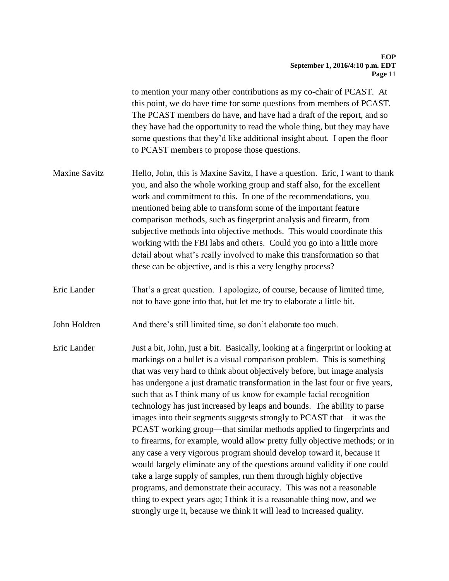to mention your many other contributions as my co-chair of PCAST. At this point, we do have time for some questions from members of PCAST. The PCAST members do have, and have had a draft of the report, and so they have had the opportunity to read the whole thing, but they may have some questions that they'd like additional insight about. I open the floor to PCAST members to propose those questions.

- Maxine Savitz Hello, John, this is Maxine Savitz, I have a question. Eric, I want to thank you, and also the whole working group and staff also, for the excellent work and commitment to this. In one of the recommendations, you mentioned being able to transform some of the important feature comparison methods, such as fingerprint analysis and firearm, from subjective methods into objective methods. This would coordinate this working with the FBI labs and others. Could you go into a little more detail about what's really involved to make this transformation so that these can be objective, and is this a very lengthy process?
- Eric Lander That's a great question. I apologize, of course, because of limited time, not to have gone into that, but let me try to elaborate a little bit.
- John Holdren And there's still limited time, so don't elaborate too much.
- Eric Lander Just a bit, John, just a bit. Basically, looking at a fingerprint or looking at markings on a bullet is a visual comparison problem. This is something that was very hard to think about objectively before, but image analysis has undergone a just dramatic transformation in the last four or five years, such that as I think many of us know for example facial recognition technology has just increased by leaps and bounds. The ability to parse images into their segments suggests strongly to PCAST that—it was the PCAST working group—that similar methods applied to fingerprints and to firearms, for example, would allow pretty fully objective methods; or in any case a very vigorous program should develop toward it, because it would largely eliminate any of the questions around validity if one could take a large supply of samples, run them through highly objective programs, and demonstrate their accuracy. This was not a reasonable thing to expect years ago; I think it is a reasonable thing now, and we strongly urge it, because we think it will lead to increased quality.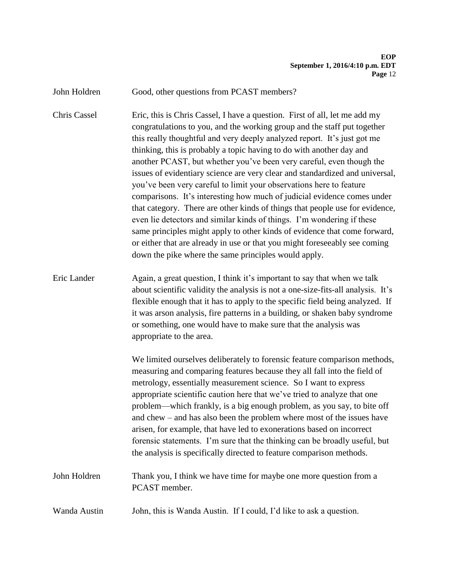John Holdren Good, other questions from PCAST members?

Chris Cassel Eric, this is Chris Cassel, I have a question. First of all, let me add my congratulations to you, and the working group and the staff put together this really thoughtful and very deeply analyzed report. It's just got me thinking, this is probably a topic having to do with another day and another PCAST, but whether you've been very careful, even though the issues of evidentiary science are very clear and standardized and universal, you've been very careful to limit your observations here to feature comparisons. It's interesting how much of judicial evidence comes under that category. There are other kinds of things that people use for evidence, even lie detectors and similar kinds of things. I'm wondering if these same principles might apply to other kinds of evidence that come forward, or either that are already in use or that you might foreseeably see coming down the pike where the same principles would apply.

Eric Lander Again, a great question, I think it's important to say that when we talk about scientific validity the analysis is not a one-size-fits-all analysis. It's flexible enough that it has to apply to the specific field being analyzed. If it was arson analysis, fire patterns in a building, or shaken baby syndrome or something, one would have to make sure that the analysis was appropriate to the area.

> We limited ourselves deliberately to forensic feature comparison methods, measuring and comparing features because they all fall into the field of metrology, essentially measurement science. So I want to express appropriate scientific caution here that we've tried to analyze that one problem—which frankly, is a big enough problem, as you say, to bite off and chew – and has also been the problem where most of the issues have arisen, for example, that have led to exonerations based on incorrect forensic statements. I'm sure that the thinking can be broadly useful, but the analysis is specifically directed to feature comparison methods.

John Holdren Thank you, I think we have time for maybe one more question from a PCAST member.

Wanda Austin John, this is Wanda Austin. If I could, I'd like to ask a question.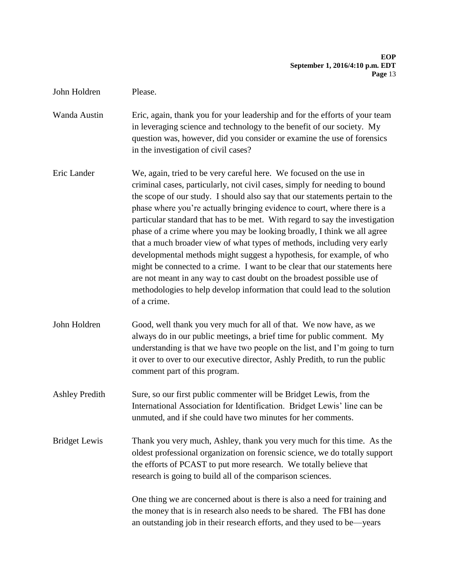#### **EOP September 1, 2016/4:10 p.m. EDT Page** 13

John Holdren Please.

Wanda Austin Eric, again, thank you for your leadership and for the efforts of your team in leveraging science and technology to the benefit of our society. My question was, however, did you consider or examine the use of forensics in the investigation of civil cases?

Eric Lander We, again, tried to be very careful here. We focused on the use in criminal cases, particularly, not civil cases, simply for needing to bound the scope of our study. I should also say that our statements pertain to the phase where you're actually bringing evidence to court, where there is a particular standard that has to be met. With regard to say the investigation phase of a crime where you may be looking broadly, I think we all agree that a much broader view of what types of methods, including very early developmental methods might suggest a hypothesis, for example, of who might be connected to a crime. I want to be clear that our statements here are not meant in any way to cast doubt on the broadest possible use of methodologies to help develop information that could lead to the solution of a crime.

John Holdren Good, well thank you very much for all of that. We now have, as we always do in our public meetings, a brief time for public comment. My understanding is that we have two people on the list, and I'm going to turn it over to over to our executive director, Ashly Predith, to run the public comment part of this program.

Ashley Predith Sure, so our first public commenter will be Bridget Lewis, from the International Association for Identification. Bridget Lewis' line can be unmuted, and if she could have two minutes for her comments.

Bridget Lewis Thank you very much, Ashley, thank you very much for this time. As the oldest professional organization on forensic science, we do totally support the efforts of PCAST to put more research. We totally believe that research is going to build all of the comparison sciences.

> One thing we are concerned about is there is also a need for training and the money that is in research also needs to be shared. The FBI has done an outstanding job in their research efforts, and they used to be—years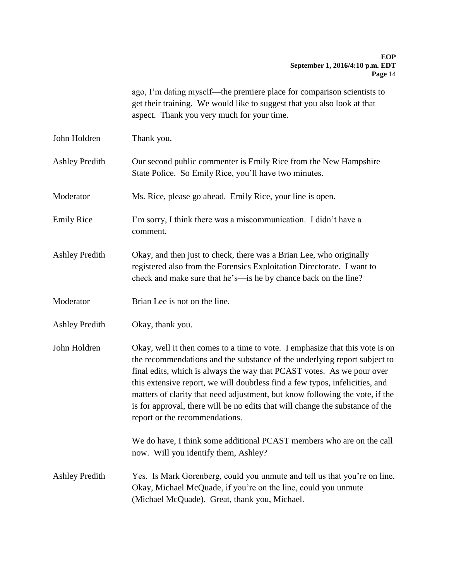ago, I'm dating myself—the premiere place for comparison scientists to get their training. We would like to suggest that you also look at that aspect. Thank you very much for your time.

John Holdren Thank you.

Ashley Predith Our second public commenter is Emily Rice from the New Hampshire State Police. So Emily Rice, you'll have two minutes.

Moderator Ms. Rice, please go ahead. Emily Rice, your line is open.

Emily Rice I'm sorry, I think there was a miscommunication. I didn't have a comment.

- Ashley Predith Okay, and then just to check, there was a Brian Lee, who originally registered also from the Forensics Exploitation Directorate. I want to check and make sure that he's—is he by chance back on the line?
- Moderator Brian Lee is not on the line.
- Ashley Predith Okay, thank you.

John Holdren Okay, well it then comes to a time to vote. I emphasize that this vote is on the recommendations and the substance of the underlying report subject to final edits, which is always the way that PCAST votes. As we pour over this extensive report, we will doubtless find a few typos, infelicities, and matters of clarity that need adjustment, but know following the vote, if the is for approval, there will be no edits that will change the substance of the report or the recommendations.

> We do have, I think some additional PCAST members who are on the call now. Will you identify them, Ashley?

Ashley Predith Yes. Is Mark Gorenberg, could you unmute and tell us that you're on line. Okay, Michael McQuade, if you're on the line, could you unmute (Michael McQuade). Great, thank you, Michael.